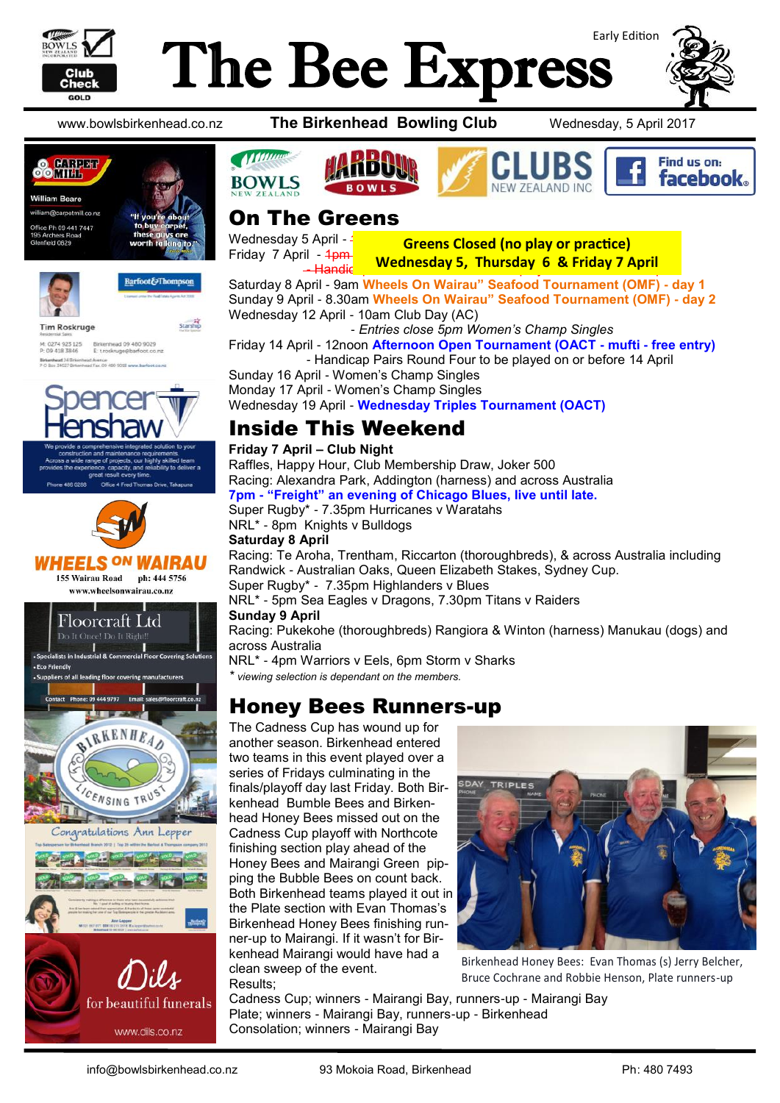

# Early Edition The Bee Express







Barfoot&Thompson

**Tim Roskruge** 

M: 0274 923 125<br>P: 09 418 3846 Birkenhead 09 480 9029<br>E: t.roskruge@barfoot.co Birkenhead 24 Bi<br>  $P$  O Box 34027 Bi







155 Wairau Road ph: 444 5756 www.wheelsonwairau.co.nz



www.bowlsbirkenhead.co.nz **The Birkenhead Bowling Club** Wednesday, 5 April 2017







### On The Greens

Wednesday 5 April - -Friday 7 April - 4pm-

**Mum** 

**BOWLS** 

**Allen Handicap Wednesday 5, Thursday 6 & Friday 7 April 1986 Greens Closed (no play or practice)**

Saturday 8 April - 9am **Wheels On Wairau" Seafood Tournament (OMF) - day 1** Sunday 9 April - 8.30am **Wheels On Wairau" Seafood Tournament (OMF) - day 2** Wednesday 12 April - 10am Club Day (AC)

- *Entries close 5pm Women's Champ Singles*

Friday 14 April - 12noon **Afternoon Open Tournament (OACT - mufti - free entry)** - Handicap Pairs Round Four to be played on or before 14 April

Sunday 16 April - Women's Champ Singles Monday 17 April - Women's Champ Singles Wednesday 19 April - **Wednesday Triples Tournament (OACT)**

# Inside This Weekend

#### **Friday 7 April – Club Night**

Raffles, Happy Hour, Club Membership Draw, Joker 500 Racing: Alexandra Park, Addington (harness) and across Australia **7pm - "Freight" an evening of Chicago Blues, live until late.**

Super Rugby\* - 7.35pm Hurricanes v Waratahs

NRL\* - 8pm Knights v Bulldogs **Saturday 8 April**

Racing: Te Aroha, Trentham, Riccarton (thoroughbreds), & across Australia including Randwick - Australian Oaks, Queen Elizabeth Stakes, Sydney Cup. Super Rugby\* - 7.35pm Highlanders v Blues

NRL\* - 5pm Sea Eagles v Dragons, 7.30pm Titans v Raiders

#### **Sunday 9 April**

Racing: Pukekohe (thoroughbreds) Rangiora & Winton (harness) Manukau (dogs) and across Australia

NRL\* - 4pm Warriors v Eels, 6pm Storm v Sharks

*\* viewing selection is dependant on the members.*

# Honey Bees Runners-up

The Cadness Cup has wound up for another season. Birkenhead entered two teams in this event played over a series of Fridays culminating in the finals/playoff day last Friday. Both Birkenhead Bumble Bees and Birkenhead Honey Bees missed out on the Cadness Cup playoff with Northcote finishing section play ahead of the Honey Bees and Mairangi Green pipping the Bubble Bees on count back. Both Birkenhead teams played it out in the Plate section with Evan Thomas's Birkenhead Honey Bees finishing runner-up to Mairangi. If it wasn't for Birkenhead Mairangi would have had a clean sweep of the event. Results;



Birkenhead Honey Bees: Evan Thomas (s) Jerry Belcher, Bruce Cochrane and Robbie Henson, Plate runners-up

Cadness Cup; winners - Mairangi Bay, runners-up - Mairangi Bay Plate; winners - Mairangi Bay, runners-up - Birkenhead Consolation; winners - Mairangi Bay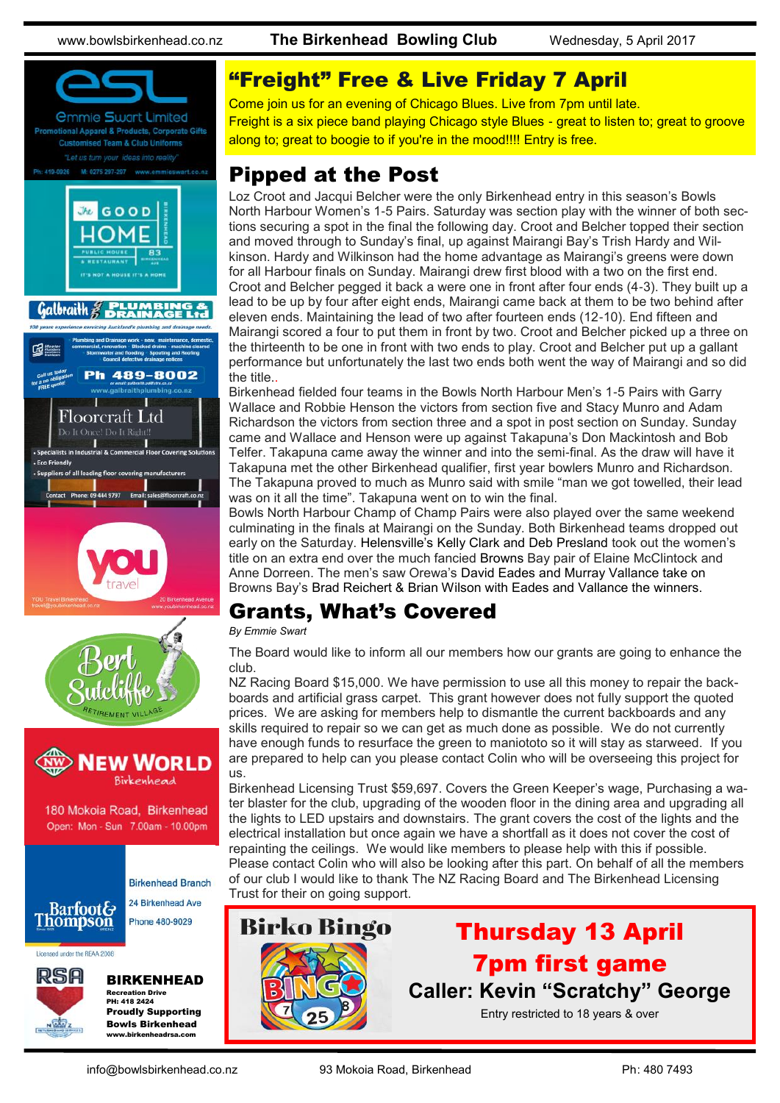www.bowlsbirkenhead.co.nz **The Birkenhead Bowling Club** Wednesday, 5 April 2017





180 Mokoia Road, Birkenhead Open: Mon - Sun 7.00am - 10.00pm





24 Birkenhead Ave Phone 480-9029

under the REAA 2008



BIRKENHEAD

Recreation Drive PH: 418 2424 Proudly Supporting Bowls Birkenhead www.birkenheadrsa.com

### "Freight" Free & Live Friday 7 April

Come join us for an evening of Chicago Blues. Live from 7pm until late. Freight is a six piece band playing Chicago style Blues - great to listen to; great to groove along to; great to boogie to if you're in the mood!!!! Entry is free.

### Pipped at the Post

Loz Croot and Jacqui Belcher were the only Birkenhead entry in this season's Bowls North Harbour Women's 1-5 Pairs. Saturday was section play with the winner of both sections securing a spot in the final the following day. Croot and Belcher topped their section and moved through to Sunday's final, up against Mairangi Bay's Trish Hardy and Wilkinson. Hardy and Wilkinson had the home advantage as Mairangi's greens were down for all Harbour finals on Sunday. Mairangi drew first blood with a two on the first end. Croot and Belcher pegged it back a were one in front after four ends (4-3). They built up a lead to be up by four after eight ends, Mairangi came back at them to be two behind after eleven ends. Maintaining the lead of two after fourteen ends (12-10). End fifteen and Mairangi scored a four to put them in front by two. Croot and Belcher picked up a three on the thirteenth to be one in front with two ends to play. Croot and Belcher put up a gallant performance but unfortunately the last two ends both went the way of Mairangi and so did the title..

Birkenhead fielded four teams in the Bowls North Harbour Men's 1-5 Pairs with Garry Wallace and Robbie Henson the victors from section five and Stacy Munro and Adam Richardson the victors from section three and a spot in post section on Sunday. Sunday came and Wallace and Henson were up against Takapuna's Don Mackintosh and Bob Telfer. Takapuna came away the winner and into the semi-final. As the draw will have it Takapuna met the other Birkenhead qualifier, first year bowlers Munro and Richardson. The Takapuna proved to much as Munro said with smile "man we got towelled, their lead was on it all the time". Takapuna went on to win the final.

Bowls North Harbour Champ of Champ Pairs were also played over the same weekend culminating in the finals at Mairangi on the Sunday. Both Birkenhead teams dropped out early on the Saturday. Helensville's [Kelly Clark](https://www.facebook.com/kelly.clark.587) and [Deb Presland](https://www.facebook.com/deb.presland) took out the women's title on an extra end over the much fancied Browns Bay pair of Elaine McClintock and Anne Dorreen. The men's saw Orewa's David Eades and Murray Vallance take on Browns Bay's Brad Reichert & Brian Wilson with Eades and Vallance the winners.

# Grants, What's Covered

*By Emmie Swart*

The Board would like to inform all our members how our grants are going to enhance the club.

NZ Racing Board \$15,000. We have permission to use all this money to repair the backboards and artificial grass carpet. This grant however does not fully support the quoted prices. We are asking for members help to dismantle the current backboards and any skills required to repair so we can get as much done as possible. We do not currently have enough funds to resurface the green to maniototo so it will stay as starweed. If you are prepared to help can you please contact Colin who will be overseeing this project for us.

Birkenhead Licensing Trust \$59,697. Covers the Green Keeper's wage, Purchasing a water blaster for the club, upgrading of the wooden floor in the dining area and upgrading all the lights to LED upstairs and downstairs. The grant covers the cost of the lights and the electrical installation but once again we have a shortfall as it does not cover the cost of repainting the ceilings. We would like members to please help with this if possible. Please contact Colin who will also be looking after this part. On behalf of all the members of our club I would like to thank The NZ Racing Board and The Birkenhead Licensing Trust for their on going support.



# Thursday 13 April 7pm first game **Caller: Kevin "Scratchy" George**

Entry restricted to 18 years & over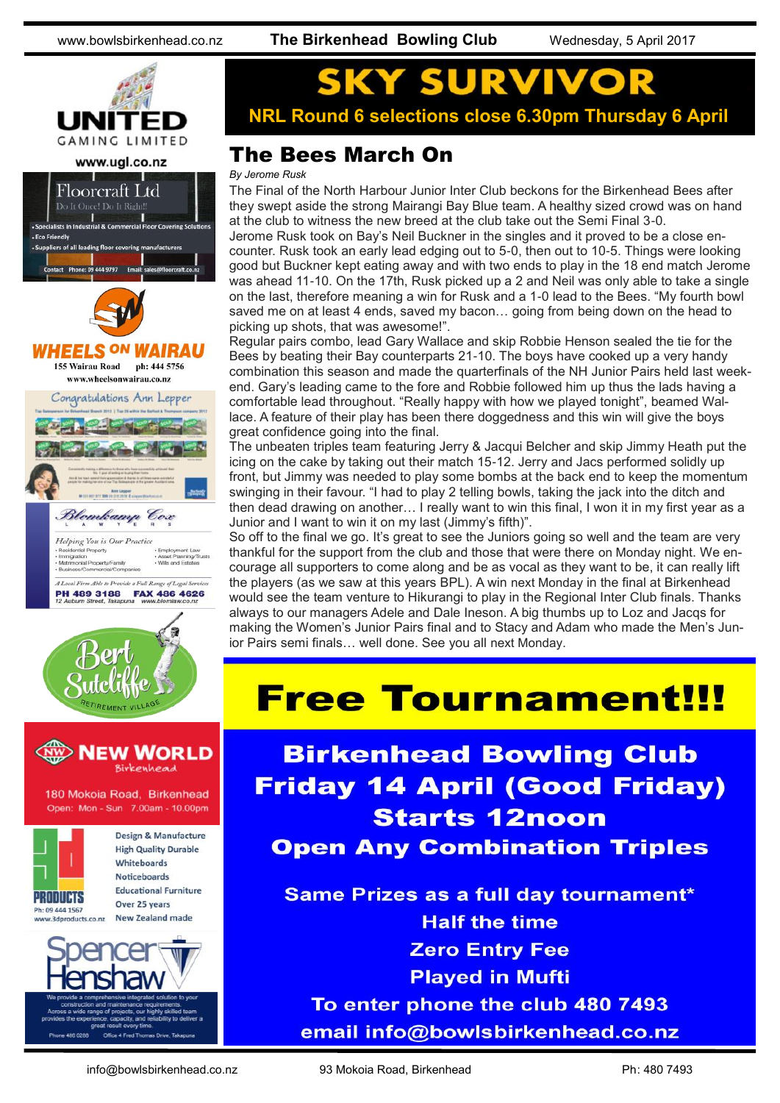

# **NRL Round 6 selections close 6.30pm Thursday 6 April**

# The Bees March On

#### *By Jerome Rusk*

The Final of the North Harbour Junior Inter Club beckons for the Birkenhead Bees after they swept aside the strong Mairangi Bay Blue team. A healthy sized crowd was on hand at the club to witness the new breed at the club take out the Semi Final 3-0. Jerome Rusk took on Bay's Neil Buckner in the singles and it proved to be a close encounter. Rusk took an early lead edging out to 5-0, then out to 10-5. Things were looking good but Buckner kept eating away and with two ends to play in the 18 end match Jerome was ahead 11-10. On the 17th, Rusk picked up a 2 and Neil was only able to take a single on the last, therefore meaning a win for Rusk and a 1-0 lead to the Bees. "My fourth bowl saved me on at least 4 ends, saved my bacon… going from being down on the head to picking up shots, that was awesome!".

Regular pairs combo, lead Gary Wallace and skip Robbie Henson sealed the tie for the Bees by beating their Bay counterparts 21-10. The boys have cooked up a very handy combination this season and made the quarterfinals of the NH Junior Pairs held last weekend. Gary's leading came to the fore and Robbie followed him up thus the lads having a comfortable lead throughout. "Really happy with how we played tonight", beamed Wallace. A feature of their play has been there doggedness and this win will give the boys great confidence going into the final.

The unbeaten triples team featuring Jerry & Jacqui Belcher and skip Jimmy Heath put the icing on the cake by taking out their match 15-12. Jerry and Jacs performed solidly up front, but Jimmy was needed to play some bombs at the back end to keep the momentum swinging in their favour. "I had to play 2 telling bowls, taking the jack into the ditch and then dead drawing on another… I really want to win this final, I won it in my first year as a Junior and I want to win it on my last (Jimmy's fifth)".

So off to the final we go. It's great to see the Juniors going so well and the team are very thankful for the support from the club and those that were there on Monday night. We encourage all supporters to come along and be as vocal as they want to be, it can really lift the players (as we saw at this years BPL). A win next Monday in the final at Birkenhead would see the team venture to Hikurangi to play in the Regional Inter Club finals. Thanks always to our managers Adele and Dale Ineson. A big thumbs up to Loz and Jacqs for making the Women's Junior Pairs final and to Stacy and Adam who made the Men's Junior Pairs semi finals… well done. See you all next Monday.

# **Free Tournament!!!**

# **Birkenhead Bowling Club Friday 14 April (Good Friday) Starts 12noon Open Any Combination Triples**

Same Prizes as a full day tournament\* **Half the time Zero Entry Fee Played in Mufti** To enter phone the club 480 7493 email info@bowlsbirkenhead.co.nz

info@bowlsbirkenhead.co.nz 93 Mokoia Road, Birkenhead Ph: 480 7493